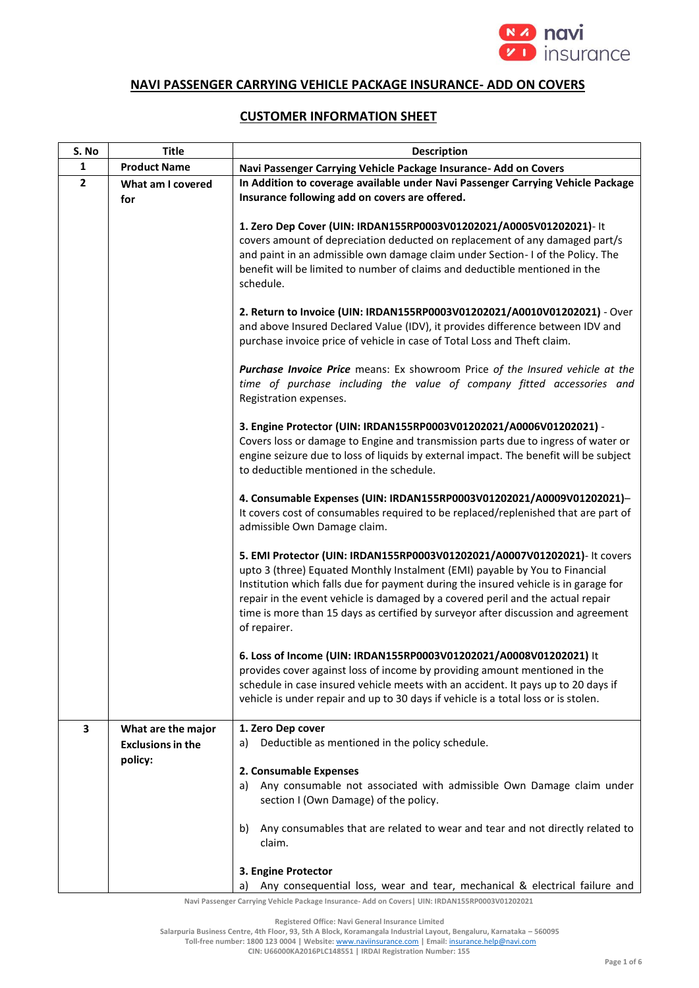

## **NAVI PASSENGER CARRYING VEHICLE PACKAGE INSURANCE- ADD ON COVERS**

## **CUSTOMER INFORMATION SHEET**

| S. No          | <b>Title</b>                                   | <b>Description</b>                                                                                                                                                                                                                                                                                                                                                                                                                      |
|----------------|------------------------------------------------|-----------------------------------------------------------------------------------------------------------------------------------------------------------------------------------------------------------------------------------------------------------------------------------------------------------------------------------------------------------------------------------------------------------------------------------------|
| $\mathbf{1}$   | <b>Product Name</b>                            | Navi Passenger Carrying Vehicle Package Insurance- Add on Covers                                                                                                                                                                                                                                                                                                                                                                        |
| $\overline{2}$ | What am I covered<br>for                       | In Addition to coverage available under Navi Passenger Carrying Vehicle Package<br>Insurance following add on covers are offered.                                                                                                                                                                                                                                                                                                       |
|                |                                                | 1. Zero Dep Cover (UIN: IRDAN155RP0003V01202021/A0005V01202021)- It<br>covers amount of depreciation deducted on replacement of any damaged part/s<br>and paint in an admissible own damage claim under Section- I of the Policy. The<br>benefit will be limited to number of claims and deductible mentioned in the<br>schedule.                                                                                                       |
|                |                                                | 2. Return to Invoice (UIN: IRDAN155RP0003V01202021/A0010V01202021) - Over<br>and above Insured Declared Value (IDV), it provides difference between IDV and<br>purchase invoice price of vehicle in case of Total Loss and Theft claim.                                                                                                                                                                                                 |
|                |                                                | Purchase Invoice Price means: Ex showroom Price of the Insured vehicle at the<br>time of purchase including the value of company fitted accessories and<br>Registration expenses.                                                                                                                                                                                                                                                       |
|                |                                                | 3. Engine Protector (UIN: IRDAN155RP0003V01202021/A0006V01202021) -<br>Covers loss or damage to Engine and transmission parts due to ingress of water or<br>engine seizure due to loss of liquids by external impact. The benefit will be subject<br>to deductible mentioned in the schedule.                                                                                                                                           |
|                |                                                | 4. Consumable Expenses (UIN: IRDAN155RP0003V01202021/A0009V01202021)-<br>It covers cost of consumables required to be replaced/replenished that are part of<br>admissible Own Damage claim.                                                                                                                                                                                                                                             |
|                |                                                | 5. EMI Protector (UIN: IRDAN155RP0003V01202021/A0007V01202021)- It covers<br>upto 3 (three) Equated Monthly Instalment (EMI) payable by You to Financial<br>Institution which falls due for payment during the insured vehicle is in garage for<br>repair in the event vehicle is damaged by a covered peril and the actual repair<br>time is more than 15 days as certified by surveyor after discussion and agreement<br>of repairer. |
|                |                                                | 6. Loss of Income (UIN: IRDAN155RP0003V01202021/A0008V01202021) It<br>provides cover against loss of income by providing amount mentioned in the<br>schedule in case insured vehicle meets with an accident. It pays up to 20 days if<br>vehicle is under repair and up to 30 days if vehicle is a total loss or is stolen.                                                                                                             |
| 3              | What are the major<br><b>Exclusions in the</b> | 1. Zero Dep cover<br>Deductible as mentioned in the policy schedule.<br>a)                                                                                                                                                                                                                                                                                                                                                              |
|                | policy:                                        | 2. Consumable Expenses<br>a) Any consumable not associated with admissible Own Damage claim under<br>section I (Own Damage) of the policy.                                                                                                                                                                                                                                                                                              |
|                |                                                | Any consumables that are related to wear and tear and not directly related to<br>b)<br>claim.                                                                                                                                                                                                                                                                                                                                           |
|                |                                                | 3. Engine Protector<br>Any consequential loss, wear and tear, mechanical & electrical failure and                                                                                                                                                                                                                                                                                                                                       |

**Navi Passenger Carrying Vehicle Package Insurance- Add on Covers| UIN: IRDAN155RP0003V01202021**

**Registered Office: Navi General Insurance Limited**

**Salarpuria Business Centre, 4th Floor, 93, 5th A Block, Koramangala Industrial Layout, Bengaluru, Karnataka – 560095**

**Toll-free number: 1800 123 0004 | Website:** [www.naviinsurance.com](http://www.naviinsurance.com/) **| Email:** [insurance.help@navi.com](mailto:insurance.help@navi.com)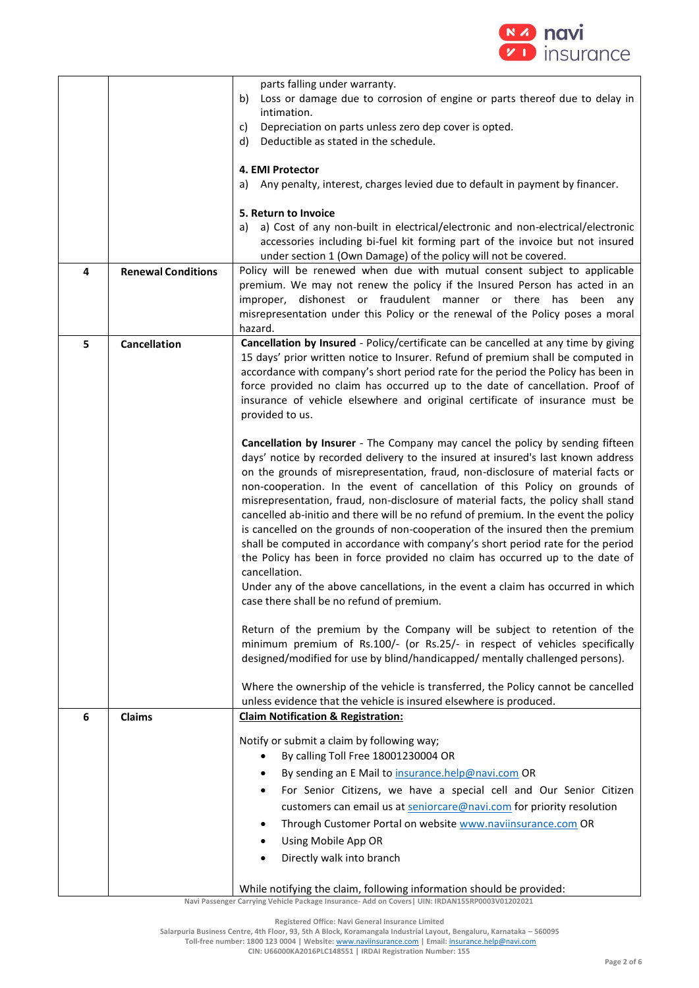

|                |                           | parts falling under warranty.<br>Loss or damage due to corrosion of engine or parts thereof due to delay in<br>b)<br>intimation.<br>Depreciation on parts unless zero dep cover is opted.<br>C)<br>Deductible as stated in the schedule.<br>d)<br>4. EMI Protector                                                                                                                                                                                                                                                                                                                                                                                                                                                                                                                                                                                                                                                       |
|----------------|---------------------------|--------------------------------------------------------------------------------------------------------------------------------------------------------------------------------------------------------------------------------------------------------------------------------------------------------------------------------------------------------------------------------------------------------------------------------------------------------------------------------------------------------------------------------------------------------------------------------------------------------------------------------------------------------------------------------------------------------------------------------------------------------------------------------------------------------------------------------------------------------------------------------------------------------------------------|
|                |                           | Any penalty, interest, charges levied due to default in payment by financer.<br>a)                                                                                                                                                                                                                                                                                                                                                                                                                                                                                                                                                                                                                                                                                                                                                                                                                                       |
|                |                           | 5. Return to Invoice                                                                                                                                                                                                                                                                                                                                                                                                                                                                                                                                                                                                                                                                                                                                                                                                                                                                                                     |
|                |                           | a) Cost of any non-built in electrical/electronic and non-electrical/electronic<br>a)<br>accessories including bi-fuel kit forming part of the invoice but not insured                                                                                                                                                                                                                                                                                                                                                                                                                                                                                                                                                                                                                                                                                                                                                   |
|                |                           | under section 1 (Own Damage) of the policy will not be covered.                                                                                                                                                                                                                                                                                                                                                                                                                                                                                                                                                                                                                                                                                                                                                                                                                                                          |
| $\overline{a}$ | <b>Renewal Conditions</b> | Policy will be renewed when due with mutual consent subject to applicable<br>premium. We may not renew the policy if the Insured Person has acted in an<br>dishonest or fraudulent manner or there has been<br>improper,<br>any<br>misrepresentation under this Policy or the renewal of the Policy poses a moral<br>hazard.                                                                                                                                                                                                                                                                                                                                                                                                                                                                                                                                                                                             |
| 5              | Cancellation              | Cancellation by Insured - Policy/certificate can be cancelled at any time by giving<br>15 days' prior written notice to Insurer. Refund of premium shall be computed in<br>accordance with company's short period rate for the period the Policy has been in<br>force provided no claim has occurred up to the date of cancellation. Proof of<br>insurance of vehicle elsewhere and original certificate of insurance must be<br>provided to us.                                                                                                                                                                                                                                                                                                                                                                                                                                                                         |
|                |                           | Cancellation by Insurer - The Company may cancel the policy by sending fifteen<br>days' notice by recorded delivery to the insured at insured's last known address<br>on the grounds of misrepresentation, fraud, non-disclosure of material facts or<br>non-cooperation. In the event of cancellation of this Policy on grounds of<br>misrepresentation, fraud, non-disclosure of material facts, the policy shall stand<br>cancelled ab-initio and there will be no refund of premium. In the event the policy<br>is cancelled on the grounds of non-cooperation of the insured then the premium<br>shall be computed in accordance with company's short period rate for the period<br>the Policy has been in force provided no claim has occurred up to the date of<br>cancellation.<br>Under any of the above cancellations, in the event a claim has occurred in which<br>case there shall be no refund of premium. |
|                |                           | Return of the premium by the Company will be subject to retention of the<br>minimum premium of Rs.100/- (or Rs.25/- in respect of vehicles specifically<br>designed/modified for use by blind/handicapped/ mentally challenged persons).                                                                                                                                                                                                                                                                                                                                                                                                                                                                                                                                                                                                                                                                                 |
|                |                           | Where the ownership of the vehicle is transferred, the Policy cannot be cancelled<br>unless evidence that the vehicle is insured elsewhere is produced.                                                                                                                                                                                                                                                                                                                                                                                                                                                                                                                                                                                                                                                                                                                                                                  |
| 6              | <b>Claims</b>             | <b>Claim Notification &amp; Registration:</b>                                                                                                                                                                                                                                                                                                                                                                                                                                                                                                                                                                                                                                                                                                                                                                                                                                                                            |
|                |                           | Notify or submit a claim by following way;<br>By calling Toll Free 18001230004 OR<br>$\bullet$<br>By sending an E Mail to insurance.help@navi.com OR<br>٠<br>For Senior Citizens, we have a special cell and Our Senior Citizen<br>٠<br>customers can email us at seniorcare@navi.com for priority resolution<br>Through Customer Portal on website www.naviinsurance.com OR<br>٠<br>Using Mobile App OR<br>٠<br>Directly walk into branch<br>While notifying the claim, following information should be provided:                                                                                                                                                                                                                                                                                                                                                                                                       |
|                |                           |                                                                                                                                                                                                                                                                                                                                                                                                                                                                                                                                                                                                                                                                                                                                                                                                                                                                                                                          |

**Registered Office: Navi General Insurance Limited**

**Salarpuria Business Centre, 4th Floor, 93, 5th A Block, Koramangala Industrial Layout, Bengaluru, Karnataka – 560095**

**Toll-free number: 1800 123 0004 | Website:** [www.naviinsurance.com](http://www.naviinsurance.com/) **| Email:** [insurance.help@navi.com](mailto:insurance.help@navi.com)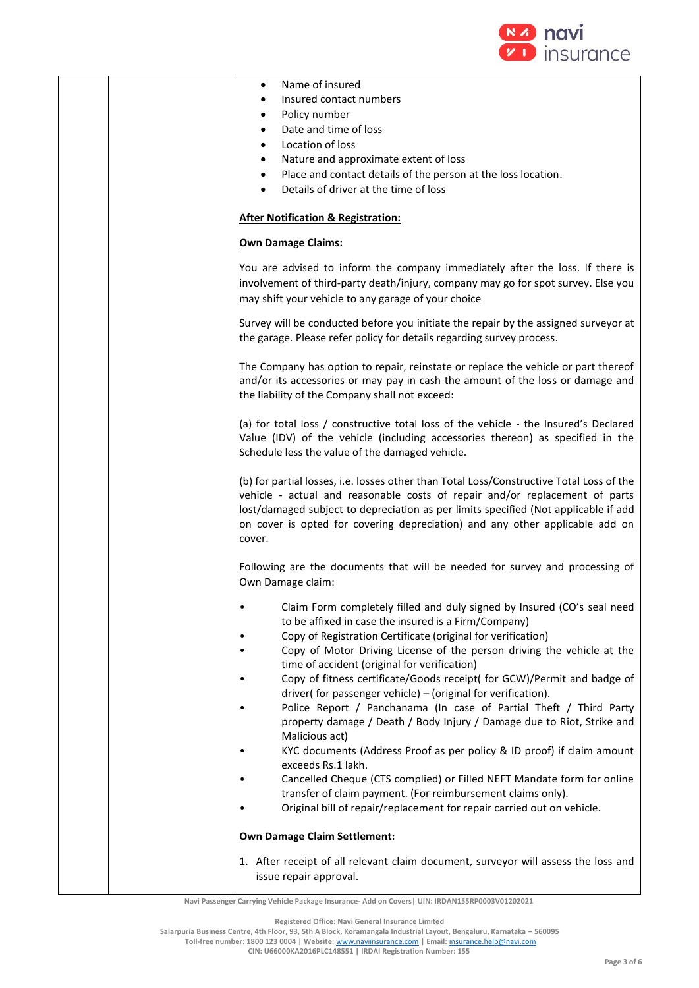

|  | Name of insured<br>٠<br>Insured contact numbers<br>Policy number<br>٠<br>Date and time of loss<br>$\bullet$<br>Location of loss<br>٠<br>Nature and approximate extent of loss<br>٠<br>Place and contact details of the person at the loss location.<br>٠<br>Details of driver at the time of loss<br>$\bullet$                                                                                                                                                                                                                                                                                                                                                                                                                                                                                                                                                                                                                                             |
|--|------------------------------------------------------------------------------------------------------------------------------------------------------------------------------------------------------------------------------------------------------------------------------------------------------------------------------------------------------------------------------------------------------------------------------------------------------------------------------------------------------------------------------------------------------------------------------------------------------------------------------------------------------------------------------------------------------------------------------------------------------------------------------------------------------------------------------------------------------------------------------------------------------------------------------------------------------------|
|  | <b>After Notification &amp; Registration:</b>                                                                                                                                                                                                                                                                                                                                                                                                                                                                                                                                                                                                                                                                                                                                                                                                                                                                                                              |
|  | <b>Own Damage Claims:</b>                                                                                                                                                                                                                                                                                                                                                                                                                                                                                                                                                                                                                                                                                                                                                                                                                                                                                                                                  |
|  | You are advised to inform the company immediately after the loss. If there is<br>involvement of third-party death/injury, company may go for spot survey. Else you<br>may shift your vehicle to any garage of your choice                                                                                                                                                                                                                                                                                                                                                                                                                                                                                                                                                                                                                                                                                                                                  |
|  | Survey will be conducted before you initiate the repair by the assigned surveyor at<br>the garage. Please refer policy for details regarding survey process.                                                                                                                                                                                                                                                                                                                                                                                                                                                                                                                                                                                                                                                                                                                                                                                               |
|  | The Company has option to repair, reinstate or replace the vehicle or part thereof<br>and/or its accessories or may pay in cash the amount of the loss or damage and<br>the liability of the Company shall not exceed:                                                                                                                                                                                                                                                                                                                                                                                                                                                                                                                                                                                                                                                                                                                                     |
|  | (a) for total loss / constructive total loss of the vehicle - the Insured's Declared<br>Value (IDV) of the vehicle (including accessories thereon) as specified in the<br>Schedule less the value of the damaged vehicle.                                                                                                                                                                                                                                                                                                                                                                                                                                                                                                                                                                                                                                                                                                                                  |
|  | (b) for partial losses, i.e. losses other than Total Loss/Constructive Total Loss of the<br>vehicle - actual and reasonable costs of repair and/or replacement of parts<br>lost/damaged subject to depreciation as per limits specified (Not applicable if add<br>on cover is opted for covering depreciation) and any other applicable add on<br>cover.                                                                                                                                                                                                                                                                                                                                                                                                                                                                                                                                                                                                   |
|  | Following are the documents that will be needed for survey and processing of<br>Own Damage claim:                                                                                                                                                                                                                                                                                                                                                                                                                                                                                                                                                                                                                                                                                                                                                                                                                                                          |
|  | Claim Form completely filled and duly signed by Insured (CO's seal need<br>to be affixed in case the insured is a Firm/Company)<br>Copy of Registration Certificate (original for verification)<br>Copy of Motor Driving License of the person driving the vehicle at the<br>time of accident (original for verification)<br>Copy of fitness certificate/Goods receipt( for GCW)/Permit and badge of<br>driver( for passenger vehicle) - (original for verification).<br>Police Report / Panchanama (In case of Partial Theft / Third Party<br>property damage / Death / Body Injury / Damage due to Riot, Strike and<br>Malicious act)<br>KYC documents (Address Proof as per policy & ID proof) if claim amount<br>exceeds Rs.1 lakh.<br>Cancelled Cheque (CTS complied) or Filled NEFT Mandate form for online<br>transfer of claim payment. (For reimbursement claims only).<br>Original bill of repair/replacement for repair carried out on vehicle. |
|  | <b>Own Damage Claim Settlement:</b>                                                                                                                                                                                                                                                                                                                                                                                                                                                                                                                                                                                                                                                                                                                                                                                                                                                                                                                        |
|  | 1. After receipt of all relevant claim document, surveyor will assess the loss and<br>issue repair approval.                                                                                                                                                                                                                                                                                                                                                                                                                                                                                                                                                                                                                                                                                                                                                                                                                                               |

**Registered Office: Navi General Insurance Limited**

**Salarpuria Business Centre, 4th Floor, 93, 5th A Block, Koramangala Industrial Layout, Bengaluru, Karnataka – 560095**

**Toll-free number: 1800 123 0004 | Website:** [www.naviinsurance.com](http://www.naviinsurance.com/) **| Email:** [insurance.help@navi.com](mailto:insurance.help@navi.com)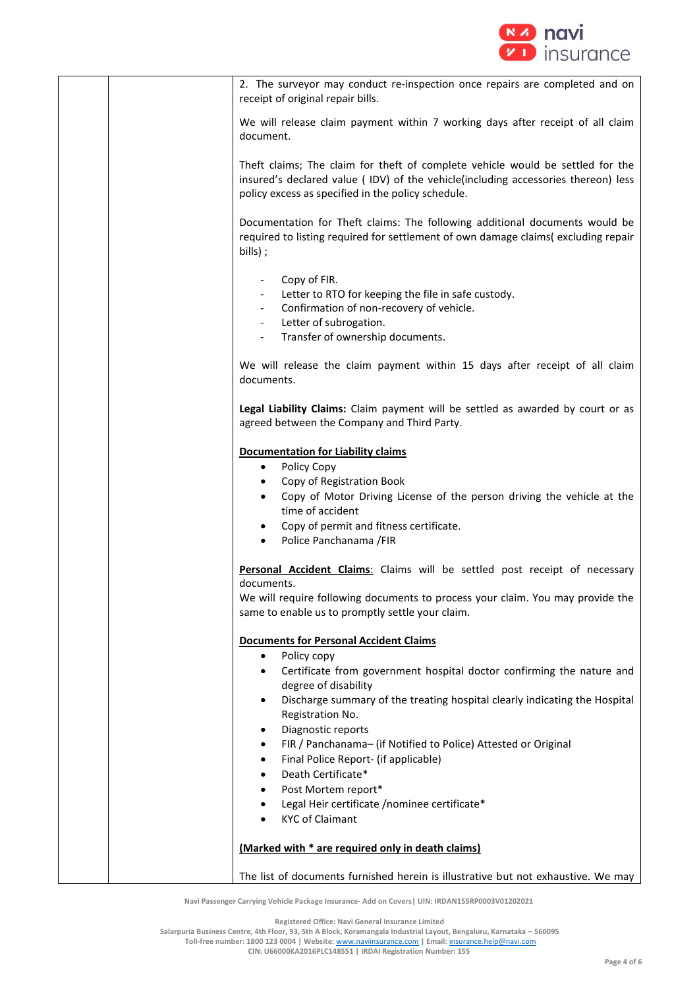

| 2. The surveyor may conduct re-inspection once repairs are completed and on<br>receipt of original repair bills.                                                                                                                                                                                                                                                                                                                                                                                         |
|----------------------------------------------------------------------------------------------------------------------------------------------------------------------------------------------------------------------------------------------------------------------------------------------------------------------------------------------------------------------------------------------------------------------------------------------------------------------------------------------------------|
| We will release claim payment within 7 working days after receipt of all claim<br>document.                                                                                                                                                                                                                                                                                                                                                                                                              |
| Theft claims; The claim for theft of complete vehicle would be settled for the<br>insured's declared value ( IDV) of the vehicle(including accessories thereon) less<br>policy excess as specified in the policy schedule.                                                                                                                                                                                                                                                                               |
| Documentation for Theft claims: The following additional documents would be<br>required to listing required for settlement of own damage claims(excluding repair<br>bills);                                                                                                                                                                                                                                                                                                                              |
| Copy of FIR.<br>Letter to RTO for keeping the file in safe custody.<br>Confirmation of non-recovery of vehicle.<br>Letter of subrogation.                                                                                                                                                                                                                                                                                                                                                                |
| Transfer of ownership documents.                                                                                                                                                                                                                                                                                                                                                                                                                                                                         |
| We will release the claim payment within 15 days after receipt of all claim<br>documents.                                                                                                                                                                                                                                                                                                                                                                                                                |
| Legal Liability Claims: Claim payment will be settled as awarded by court or as<br>agreed between the Company and Third Party.                                                                                                                                                                                                                                                                                                                                                                           |
| <b>Documentation for Liability claims</b><br>Policy Copy<br>$\bullet$<br>Copy of Registration Book<br>Copy of Motor Driving License of the person driving the vehicle at the<br>$\bullet$<br>time of accident<br>Copy of permit and fitness certificate.<br>$\bullet$<br>Police Panchanama / FIR<br>$\bullet$                                                                                                                                                                                            |
| Personal Accident Claims: Claims will be settled post receipt of necessary<br>documents.<br>We will require following documents to process your claim. You may provide the<br>same to enable us to promptly settle your claim.                                                                                                                                                                                                                                                                           |
| <b>Documents for Personal Accident Claims</b><br>Policy copy<br>$\bullet$<br>Certificate from government hospital doctor confirming the nature and<br>$\bullet$<br>degree of disability<br>Discharge summary of the treating hospital clearly indicating the Hospital<br>$\bullet$<br>Registration No.<br>Diagnostic reports<br>$\bullet$<br>FIR / Panchanama- (if Notified to Police) Attested or Original<br>$\bullet$<br>Final Police Report- (if applicable)<br>٠<br>Death Certificate*<br>$\bullet$ |
| Post Mortem report*<br>٠<br>Legal Heir certificate /nominee certificate*<br>$\bullet$<br><b>KYC of Claimant</b><br>$\bullet$                                                                                                                                                                                                                                                                                                                                                                             |
| (Marked with * are required only in death claims)                                                                                                                                                                                                                                                                                                                                                                                                                                                        |
| The list of documents furnished herein is illustrative but not exhaustive. We may                                                                                                                                                                                                                                                                                                                                                                                                                        |

**Registered Office: Navi General Insurance Limited**

**Salarpuria Business Centre, 4th Floor, 93, 5th A Block, Koramangala Industrial Layout, Bengaluru, Karnataka – 560095**

**Toll-free number: 1800 123 0004 | Website:** [www.naviinsurance.com](http://www.naviinsurance.com/) **| Email:** [insurance.help@navi.com](mailto:insurance.help@navi.com)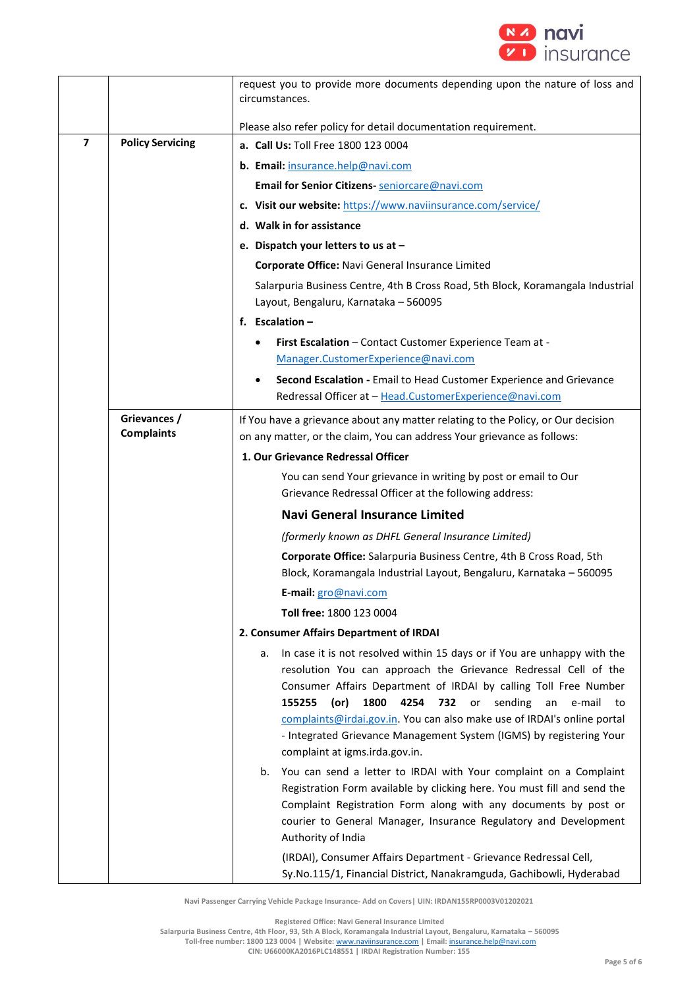

|                |                                   | request you to provide more documents depending upon the nature of loss and<br>circumstances.                                                                                                                                                                                                                                     |
|----------------|-----------------------------------|-----------------------------------------------------------------------------------------------------------------------------------------------------------------------------------------------------------------------------------------------------------------------------------------------------------------------------------|
|                |                                   | Please also refer policy for detail documentation requirement.                                                                                                                                                                                                                                                                    |
| $\overline{ }$ | <b>Policy Servicing</b>           | a. Call Us: Toll Free 1800 123 0004                                                                                                                                                                                                                                                                                               |
|                |                                   | b. Email: insurance.help@navi.com                                                                                                                                                                                                                                                                                                 |
|                |                                   | Email for Senior Citizens- seniorcare@navi.com                                                                                                                                                                                                                                                                                    |
|                |                                   | c. Visit our website: https://www.naviinsurance.com/service/                                                                                                                                                                                                                                                                      |
|                |                                   | d. Walk in for assistance                                                                                                                                                                                                                                                                                                         |
|                |                                   | e. Dispatch your letters to us at -                                                                                                                                                                                                                                                                                               |
|                |                                   | Corporate Office: Navi General Insurance Limited                                                                                                                                                                                                                                                                                  |
|                |                                   | Salarpuria Business Centre, 4th B Cross Road, 5th Block, Koramangala Industrial<br>Layout, Bengaluru, Karnataka - 560095                                                                                                                                                                                                          |
|                |                                   | f. Escalation $-$                                                                                                                                                                                                                                                                                                                 |
|                |                                   | First Escalation - Contact Customer Experience Team at -<br>٠                                                                                                                                                                                                                                                                     |
|                |                                   | Manager.CustomerExperience@navi.com                                                                                                                                                                                                                                                                                               |
|                |                                   | Second Escalation - Email to Head Customer Experience and Grievance<br>Redressal Officer at - Head.CustomerExperience@navi.com                                                                                                                                                                                                    |
|                | Grievances /<br><b>Complaints</b> | If You have a grievance about any matter relating to the Policy, or Our decision<br>on any matter, or the claim, You can address Your grievance as follows:                                                                                                                                                                       |
|                |                                   | 1. Our Grievance Redressal Officer                                                                                                                                                                                                                                                                                                |
|                |                                   | You can send Your grievance in writing by post or email to Our<br>Grievance Redressal Officer at the following address:                                                                                                                                                                                                           |
|                |                                   | <b>Navi General Insurance Limited</b>                                                                                                                                                                                                                                                                                             |
|                |                                   | (formerly known as DHFL General Insurance Limited)                                                                                                                                                                                                                                                                                |
|                |                                   | Corporate Office: Salarpuria Business Centre, 4th B Cross Road, 5th<br>Block, Koramangala Industrial Layout, Bengaluru, Karnataka - 560095                                                                                                                                                                                        |
|                |                                   | E-mail: gro@navi.com                                                                                                                                                                                                                                                                                                              |
|                |                                   | Toll free: 1800 123 0004                                                                                                                                                                                                                                                                                                          |
|                |                                   | 2. Consumer Affairs Department of IRDAI                                                                                                                                                                                                                                                                                           |
|                |                                   | In case it is not resolved within 15 days or if You are unhappy with the<br>а.<br>resolution You can approach the Grievance Redressal Cell of the                                                                                                                                                                                 |
|                |                                   | Consumer Affairs Department of IRDAI by calling Toll Free Number<br>155255<br>(or)<br>1800<br>4254<br>732<br>or sending<br>e-mail<br>an<br>to<br>complaints@irdai.gov.in. You can also make use of IRDAI's online portal<br>- Integrated Grievance Management System (IGMS) by registering Your<br>complaint at igms.irda.gov.in. |
|                |                                   | You can send a letter to IRDAI with Your complaint on a Complaint<br>b.<br>Registration Form available by clicking here. You must fill and send the<br>Complaint Registration Form along with any documents by post or<br>courier to General Manager, Insurance Regulatory and Development<br>Authority of India                  |
|                |                                   | (IRDAI), Consumer Affairs Department - Grievance Redressal Cell,<br>Sy.No.115/1, Financial District, Nanakramguda, Gachibowli, Hyderabad                                                                                                                                                                                          |

**Registered Office: Navi General Insurance Limited**

**Salarpuria Business Centre, 4th Floor, 93, 5th A Block, Koramangala Industrial Layout, Bengaluru, Karnataka – 560095**

**Toll-free number: 1800 123 0004 | Website:** [www.naviinsurance.com](http://www.naviinsurance.com/) **| Email:** [insurance.help@navi.com](mailto:insurance.help@navi.com)